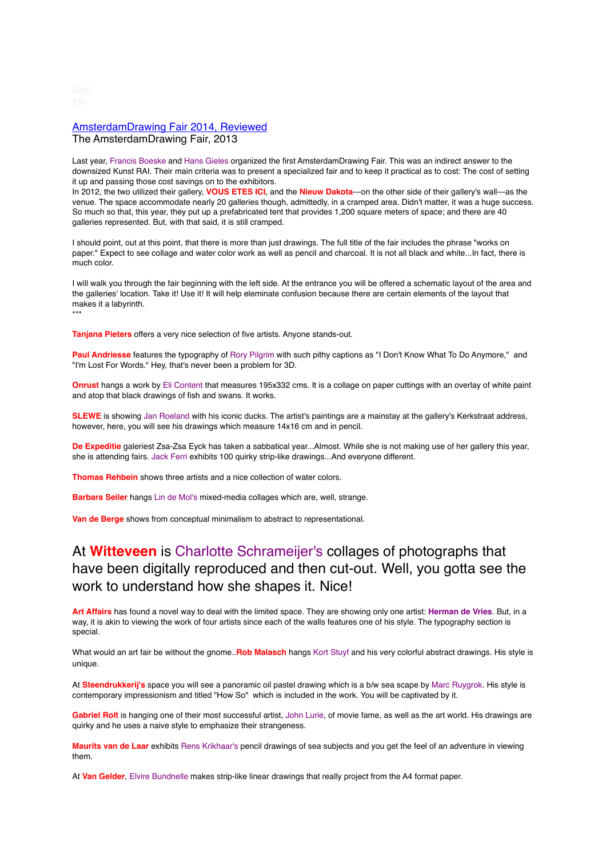## [AmsterdamDrawing Fair 2014, Reviewed](http://gould3dlist.blogspot.com/2013/09/amsterdamdrawing-fair-2014-reviewed.html) The AmsterdamDrawing Fair, 2013

Last year, Francis Boeske and Hans Gieles organized the first AmsterdamDrawing Fair. This was an indirect answer to the downsized Kunst RAI. Their main criteria was to present a specialized fair and to keep it practical as to cost: The cost of setting it up and passing those cost savings on to the exhibitors.

In 2012, the two utilized their gallery, **VOUS ETES ICI**, and the **Nieuw Dakota**---on the other side of their gallery's wall---as the venue. The space accommodate nearly 20 galleries though, admittedly, in a cramped area. Didn't matter, it was a huge success. So much so that, this year, they put up a prefabricated tent that provides 1,200 square meters of space; and there are 40 galleries represented. But, with that said, it is still cramped.

I should point, out at this point, that there is more than just drawings. The full title of the fair includes the phrase "works on paper." Expect to see collage and water color work as well as pencil and charcoal. It is not all black and white...In fact, there is much color.

I will walk you through the fair beginning with the left side. At the entrance you will be offered a schematic layout of the area and the galleries' location. Take it! Use it! It will help eleminate confusion because there are certain elements of the layout that makes it a labyrinth. \*\*\*

**Tanjana Pieters** offers a very nice selection of five artists. Anyone stands-out.

**Paul Andriesse** features the typography of Rory Pilgrim with such pithy captions as "I Don't Know What To Do Anymore," and "I'm Lost For Words." Hey, that's never been a problem for 3D.

**Onrust** hangs a work by Eli Content that measures 195x332 cms. It is a collage on paper cuttings with an overlay of white paint and atop that black drawings of fish and swans. It works.

**SLEWE** is showing Jan Roeland with his iconic ducks. The artist's paintings are a mainstay at the gallery's Kerkstraat address, however, here, you will see his drawings which measure 14x16 cm and in pencil.

**De Expeditie** galeriest Zsa-Zsa Eyck has taken a sabbatical year...Almost. While she is not making use of her gallery this year, she is attending fairs. Jack Ferri exhibits 100 quirky strip-like drawings...And everyone different.

**Thomas Rehbein** shows three artists and a nice collection of water colors.

**Barbara Seiler** hangs Lin de Mol's mixed-media collages which are, well, strange.

**Van de Berge** shows from conceptual minimalism to abstract to representational.

## At **Witteveen** is Charlotte Schrameijer's collages of photographs that have been digitally reproduced and then cut-out. Well, you gotta see the work to understand how she shapes it. Nice!

**Art Affairs** has found a novel way to deal with the limited space. They are showing only one artist: **Herman de Vries**. But, in a way, it is akin to viewing the work of four artists since each of the walls features one of his style. The typography section is special.

What would an art fair be without the gnome..**Rob Malasch** hangs Kort Stuyf and his very colorful abstract drawings. His style is unique.

At **Steendrukkerij's** space you will see a panoramic oil pastel drawing which is a b/w sea scape by Marc Ruygrok. His style is contemporary impressionism and titled "How So" which is included in the work. You will be captivated by it.

Gabriel Rolt is hanging one of their most successful artist, John Lurie, of movie fame, as well as the art world. His drawings are quirky and he uses a naive style to emphasize their strangeness.

**Maurits van de Laar** exhibits Rens Krikhaar's pencil drawings of sea subjects and you get the feel of an adventure in viewing them.

At **Van Gelder**, Elvire Bundnelle makes strip-like linear drawings that really project from the A4 format paper.